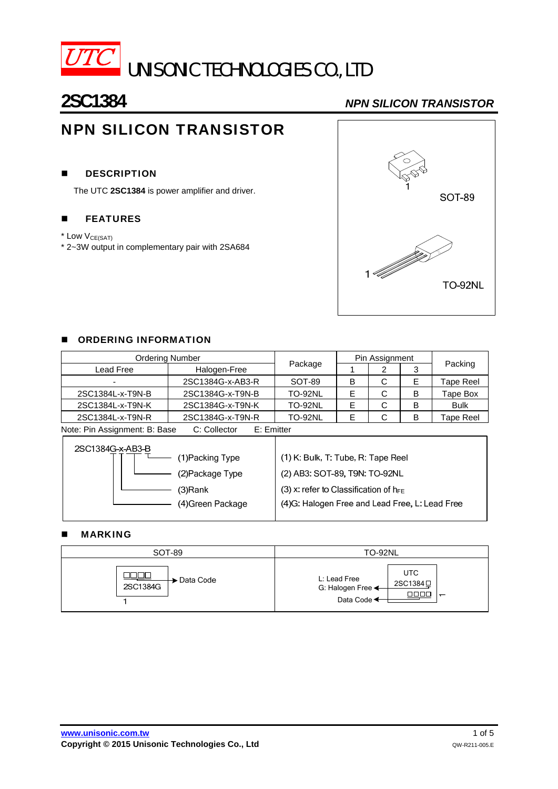

# **2SC1384** *NPN SILICON TRANSISTOR*

# NPN SILICON TRANSISTOR

# **DESCRIPTION**

The UTC **2SC1384** is power amplifier and driver.

# **EXECUTE:**

\* Low V<sub>CE(SAT)</sub>

\* 2~3W output in complementary pair with 2SA684



### **DE ORDERING INFORMATION**

| <b>Ordering Number</b>                                       |                  |                | Pin Assignment |   |   |             |  |
|--------------------------------------------------------------|------------------|----------------|----------------|---|---|-------------|--|
| Lead Free                                                    | Halogen-Free     | Package        |                | ⌒ |   | Packing     |  |
| $\overline{\phantom{0}}$                                     | 2SC1384G-x-AB3-R | SOT-89         | в              | С | E | Tape Reel   |  |
| 2SC1384L-x-T9N-B                                             | 2SC1384G-x-T9N-B | <b>TO-92NL</b> |                | С | в | Tape Box    |  |
| 2SC1384L-x-T9N-K                                             | 2SC1384G-x-T9N-K | <b>TO-92NL</b> |                | С | B | <b>Bulk</b> |  |
| 2SC1384L-x-T9N-R                                             | 2SC1384G-x-T9N-R | <b>TO-92NL</b> |                | С | B | Tape Reel   |  |
| Note: Pin Assignment: R. Base<br>$C:$ Collector<br>F: Fmiter |                  |                |                |   |   |             |  |

| Note: Pin Assignment: B: Base | C: Collector | E: Emitter |
|-------------------------------|--------------|------------|
|-------------------------------|--------------|------------|

| 2SC1384G-x-AB3-B<br>(1)Packing Type | (1) K: Bulk, T: Tube, R: Tape Reel              |
|-------------------------------------|-------------------------------------------------|
| (2) Package Type                    | (2) AB3: SOT-89, T9N: TO-92NL                   |
| (3)Rank                             | (3) x: refer to Classification of $h_{FE}$      |
| (4)Green Package                    | (4) G: Halogen Free and Lead Free, L: Lead Free |

## **MARKING**

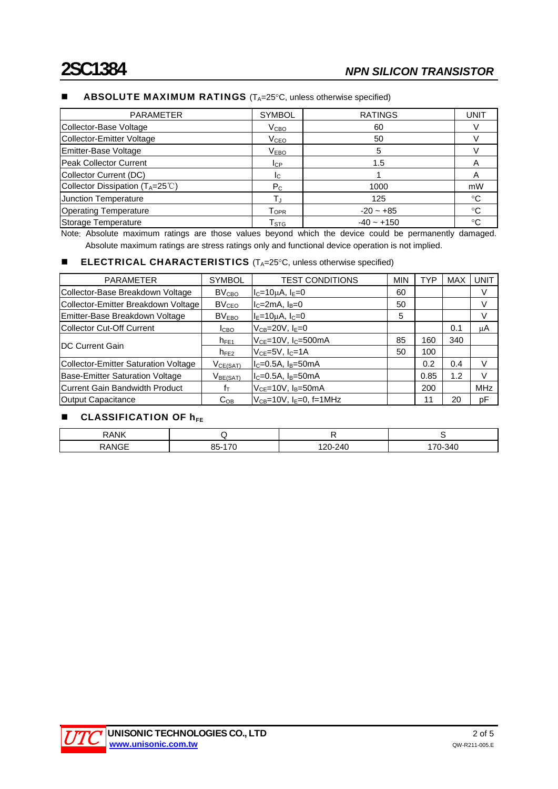| <b>PARAMETER</b>                                 | <b>SYMBOL</b>                | <b>RATINGS</b> | <b>UNIT</b>    |
|--------------------------------------------------|------------------------------|----------------|----------------|
| Collector-Base Voltage                           | $\rm V_{CBO}$                | 60             |                |
| <b>Collector-Emitter Voltage</b>                 | V <sub>CEO</sub>             | 50             |                |
| Emitter-Base Voltage                             | V <sub>EBO</sub>             | 5              |                |
| Peak Collector Current                           | $_{\rm{LCP}}$                | 1.5            | $\overline{A}$ |
| Collector Current (DC)                           | Ic.                          |                | A              |
| Collector Dissipation $(T_A=25^{\circ}\text{C})$ | $P_{C}$                      | 1000           | mW             |
| Junction Temperature                             |                              | 125            | $^{\circ}C$    |
| <b>Operating Temperature</b>                     | ${\mathsf T}_{\mathsf{OPR}}$ | $-20 - +85$    | ℃              |
| Storage Temperature                              | $\mathsf{T}_{\texttt{STG}}$  | $-40 - +150$   | ℃              |

# **ABSOLUTE MAXIMUM RATINGS**  $(T_A=25^{\circ}C,$  unless otherwise specified)

Note: Absolute maximum ratings are those values beyond which the device could be permanently damaged. Absolute maximum ratings are stress ratings only and functional device operation is not implied.

### **ELECTRICAL CHARACTERISTICS**  $(T_A=25^\circ \text{C},$  unless otherwise specified)

| <b>PARAMETER</b>                            | <b>SYMBOL</b>           | <b>TEST CONDITIONS</b>                  | <b>MIN</b> | <b>TYP</b> | MAX | <b>UNIT</b> |
|---------------------------------------------|-------------------------|-----------------------------------------|------------|------------|-----|-------------|
| Collector-Base Breakdown Voltage            | <b>BV<sub>CBO</sub></b> | $I_c=10\mu A$ , $I_E=0$                 | 60         |            |     | V           |
| Collector-Emitter Breakdown Voltage         | <b>BV<sub>CEO</sub></b> | $IC=2mA, IB=0$                          | 50         |            |     | V           |
| Emitter-Base Breakdown Voltage              | <b>BVEBO</b>            | Ι <sub>Ε</sub> =10μΑ, Ι <sub>C</sub> =0 | 5          |            |     | V           |
| lCollector Cut-Off Current                  | <b>I</b> CBO            | $V_{CB} = 20V, I_E = 0$                 |            |            | 0.1 | μA          |
| <b>IDC Current Gain</b>                     | $h_{FE1}$               | $V_{CE}$ =10V, $I_C$ =500mA             | 85         | 160        | 340 |             |
|                                             | $h_{FE2}$               | $VCE=5V, IC=1A$                         | 50         | 100        |     |             |
| <b>Collector-Emitter Saturation Voltage</b> | VCE(SAT)                | $IC=0.5A$ , $IB=50mA$                   |            | 0.2        | 0.4 | V           |
| <b>Base-Emitter Saturation Voltage</b>      | V <sub>BE(SAT)</sub>    | $ I_C=0.5A, I_B=50mA$                   |            | 0.85       | 1.2 | V           |
| Current Gain Bandwidth Product              | $f_{\top}$              | $VCE=10V$ , $IB=50mA$                   |            | 200        |     | <b>MHz</b>  |
| <b>Output Capacitance</b>                   | $C_{OB}$                | $V_{CB} = 10V$ . $F = 0$ . $f = 1MHz$   |            | 11         | 20  | рF          |

# $\blacksquare$  CLASSIFICATION OF  $h_{FF}$

| ∕ווא ∧ ר<br>M. |                      |                       |
|----------------|----------------------|-----------------------|
| $\sim$ $-$     | $\rightarrow$<br>n r | $\overline{ }$<br>. . |

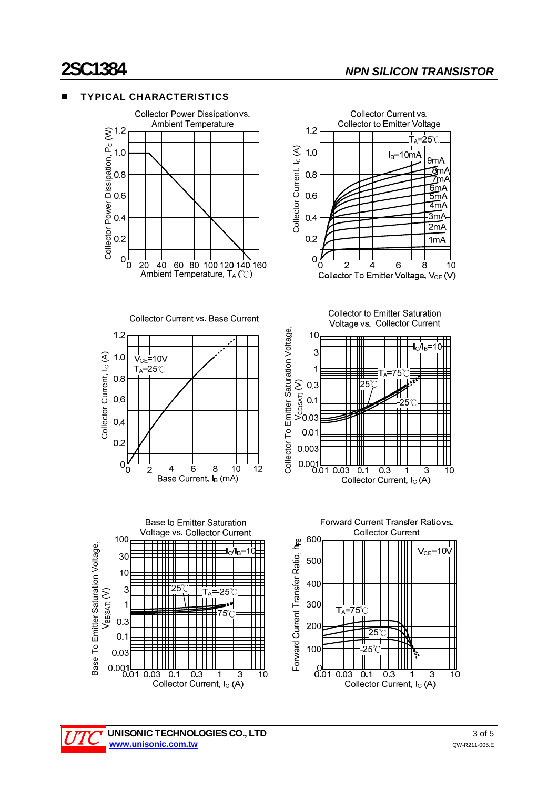$\dot{\mathsf{T}}_{\mathsf{A}}$  $-25^\circ$ 

> $9m/$ ∑m∆

7m/  $6mA$ 

 $5mA$ 4mA  $\overline{\mathsf{3m}}$ A

 $2mA$ 

 $1mA$ 

 $10$ 

8

∃l<sub>C</sub>/l<sub>B</sub>=10

3

 $10$ 

 $I_B = 10m$ 

 $\overline{\mathbf{A}}$ 

6

TTTTTTT

ั<sub>A</sub>=75 ๊

 $\frac{21}{1}$  - 25

╪╪╤╫╈

 $0.3$ 









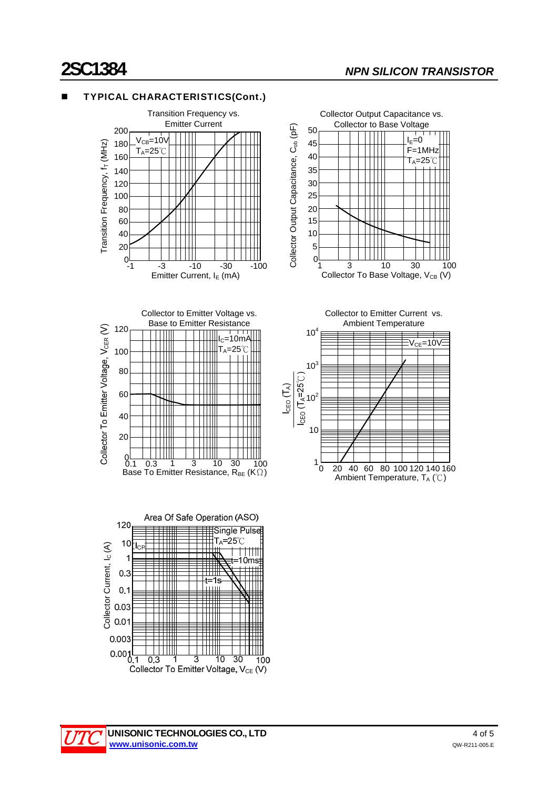$I_E=0$ F=1MHz  $T_A = 25^\circ C$